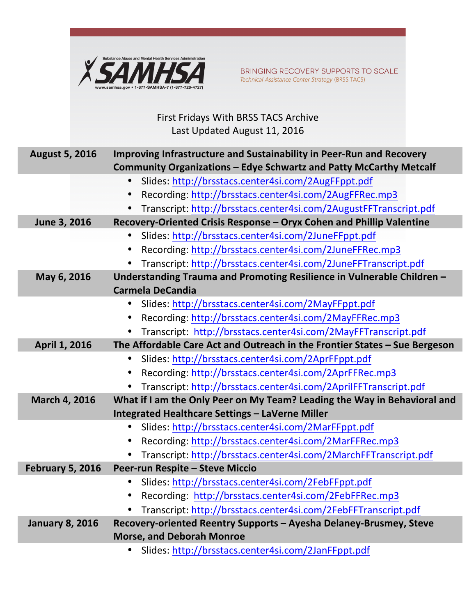

BRINGING RECOVERY SUPPORTS TO SCALE Technical Assistance Center Strategy (BRSS TACS)

## First Fridays With BRSS TACS Archive Last Updated August 11, 2016

| <b>August 5, 2016</b>   | Improving Infrastructure and Sustainability in Peer-Run and Recovery       |
|-------------------------|----------------------------------------------------------------------------|
|                         | Community Organizations - Edye Schwartz and Patty McCarthy Metcalf         |
|                         | Slides: http://brsstacs.center4si.com/2AugFFppt.pdf                        |
|                         | Recording: http://brsstacs.center4si.com/2AugFFRec.mp3                     |
|                         | Transcript: http://brsstacs.center4si.com/2AugustFFTranscript.pdf          |
| June 3, 2016            | Recovery-Oriented Crisis Response - Oryx Cohen and Phillip Valentine       |
|                         | Slides: http://brsstacs.center4si.com/2JuneFFppt.pdf                       |
|                         | Recording: http://brsstacs.center4si.com/2JuneFFRec.mp3                    |
|                         | Transcript: http://brsstacs.center4si.com/2JuneFFTranscript.pdf            |
| May 6, 2016             | Understanding Trauma and Promoting Resilience in Vulnerable Children -     |
|                         | <b>Carmela DeCandia</b>                                                    |
|                         | Slides: http://brsstacs.center4si.com/2MayFFppt.pdf<br>$\bullet$           |
|                         | Recording: http://brsstacs.center4si.com/2MayFFRec.mp3<br>$\bullet$        |
|                         | Transcript: http://brsstacs.center4si.com/2MayFFTranscript.pdf             |
| April 1, 2016           | The Affordable Care Act and Outreach in the Frontier States - Sue Bergeson |
|                         | Slides: http://brsstacs.center4si.com/2AprFFppt.pdf                        |
|                         | Recording: http://brsstacs.center4si.com/2AprFFRec.mp3<br>$\bullet$        |
|                         | Transcript: http://brsstacs.center4si.com/2AprilFFTranscript.pdf           |
| March 4, 2016           | What if I am the Only Peer on My Team? Leading the Way in Behavioral and   |
|                         | <b>Integrated Healthcare Settings - LaVerne Miller</b>                     |
|                         | Slides: http://brsstacs.center4si.com/2MarFFppt.pdf                        |
|                         | Recording: http://brsstacs.center4si.com/2MarFFRec.mp3                     |
|                         | Transcript: http://brsstacs.center4si.com/2MarchFFTranscript.pdf           |
| <b>February 5, 2016</b> | Peer-run Respite - Steve Miccio                                            |
|                         | Slides: http://brsstacs.center4si.com/2FebFFppt.pdf                        |
|                         | Recording: http://brsstacs.center4si.com/2FebFFRec.mp3                     |
|                         | Transcript: http://brsstacs.center4si.com/2FebFFTranscript.pdf             |
| <b>January 8, 2016</b>  | Recovery-oriented Reentry Supports - Ayesha Delaney-Brusmey, Steve         |
|                         | <b>Morse, and Deborah Monroe</b>                                           |
|                         | Slides: http://brsstacs.center4si.com/2JanFFppt.pdf                        |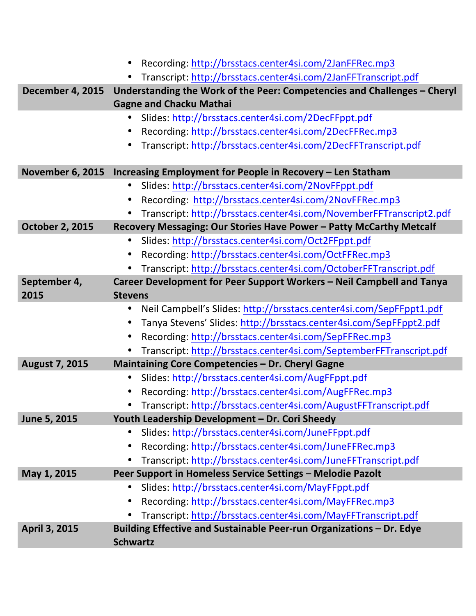|                         | Recording: http://brsstacs.center4si.com/2JanFFRec.mp3                                                     |
|-------------------------|------------------------------------------------------------------------------------------------------------|
|                         | Transcript: http://brsstacs.center4si.com/2JanFFTranscript.pdf                                             |
| <b>December 4, 2015</b> | Understanding the Work of the Peer: Competencies and Challenges - Cheryl<br><b>Gagne and Chacku Mathai</b> |
|                         | Slides: http://brsstacs.center4si.com/2DecFFppt.pdf<br>$\bullet$                                           |
|                         | Recording: http://brsstacs.center4si.com/2DecFFRec.mp3<br>$\bullet$                                        |
|                         | Transcript: http://brsstacs.center4si.com/2DecFFTranscript.pdf<br>$\bullet$                                |
| <b>November 6, 2015</b> | Increasing Employment for People in Recovery - Len Statham                                                 |
|                         | Slides: http://brsstacs.center4si.com/2NovFFppt.pdf<br>$\bullet$                                           |
|                         | Recording: http://brsstacs.center4si.com/2NovFFRec.mp3<br>$\bullet$                                        |
|                         | Transcript: http://brsstacs.center4si.com/NovemberFFTranscript2.pdf                                        |
| <b>October 2, 2015</b>  | Recovery Messaging: Our Stories Have Power - Patty McCarthy Metcalf                                        |
|                         | Slides: http://brsstacs.center4si.com/Oct2FFppt.pdf<br>$\bullet$                                           |
|                         | Recording: http://brsstacs.center4si.com/OctFFRec.mp3                                                      |
|                         | Transcript: http://brsstacs.center4si.com/OctoberFFTranscript.pdf                                          |
| September 4,            | Career Development for Peer Support Workers - Neil Campbell and Tanya                                      |
| 2015                    | <b>Stevens</b>                                                                                             |
|                         | Neil Campbell's Slides: http://brsstacs.center4si.com/SepFFppt1.pdf<br>$\bullet$                           |
|                         | Tanya Stevens' Slides: http://brsstacs.center4si.com/SepFFppt2.pdf<br>$\bullet$                            |
|                         | Recording: http://brsstacs.center4si.com/SepFFRec.mp3<br>$\bullet$                                         |
|                         | Transcript: http://brsstacs.center4si.com/SeptemberFFTranscript.pdf                                        |
| <b>August 7, 2015</b>   | Maintaining Core Competencies - Dr. Cheryl Gagne                                                           |
|                         | Slides: http://brsstacs.center4si.com/AugFFppt.pdf<br>$\bullet$                                            |
|                         | Recording: http://brsstacs.center4si.com/AugFFRec.mp3                                                      |
|                         | Transcript: http://brsstacs.center4si.com/AugustFFTranscript.pdf                                           |
| June 5, 2015            | Youth Leadership Development - Dr. Cori Sheedy                                                             |
|                         | Slides: http://brsstacs.center4si.com/JuneFFppt.pdf                                                        |
|                         | Recording: http://brsstacs.center4si.com/JuneFFRec.mp3                                                     |
|                         | Transcript: http://brsstacs.center4si.com/JuneFFTranscript.pdf                                             |
| May 1, 2015             | Peer Support in Homeless Service Settings - Melodie Pazolt                                                 |
|                         | Slides: http://brsstacs.center4si.com/MayFFppt.pdf                                                         |
|                         | Recording: http://brsstacs.center4si.com/MayFFRec.mp3<br>$\bullet$                                         |
|                         | Transcript: http://brsstacs.center4si.com/MayFFTranscript.pdf                                              |
| April 3, 2015           | Building Effective and Sustainable Peer-run Organizations - Dr. Edye<br><b>Schwartz</b>                    |